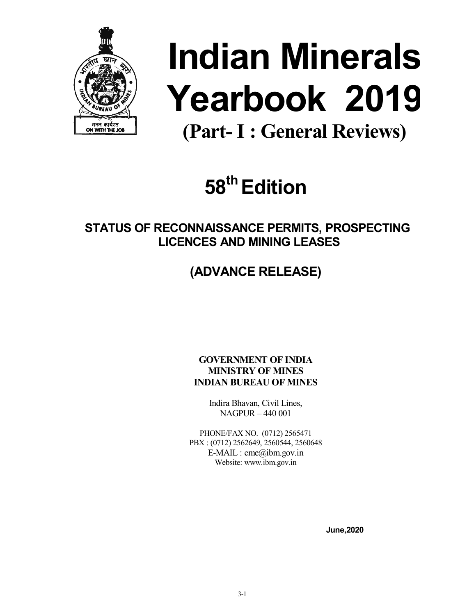

# Indian Minerals Yearbook 2019

(Part- I : General Reviews)

# 58<sup>th</sup> Edition

STATUS OF RECONNAISSANCE PERMITS, PROSPECTING LICENCES AND MINING LEASES

# (ADVANCE RELEASE)

GOVERNMENT OF INDIA MINISTRY OF MINES INDIAN BUREAU OF MINES

> Indira Bhavan, Civil Lines, NAGPUR – 440 001

PHONE/FAX NO. (0712) 2565471 PBX : (0712) 2562649, 2560544, 2560648 E-MAIL : cme@ibm.gov.in Website: www.ibm.gov.in

June,2020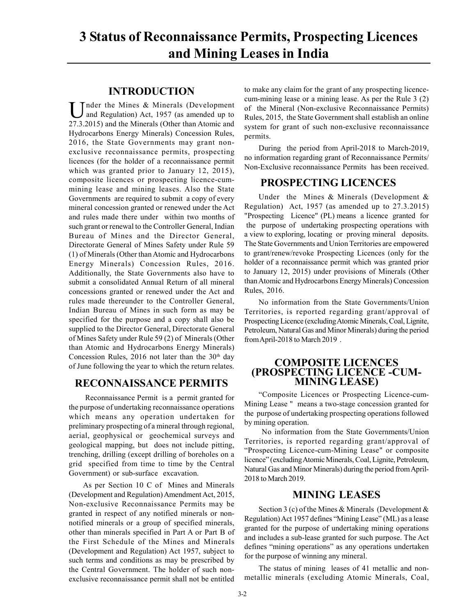## 3 Status of Reconnaissance Permits, Prospecting Licences and Mining Leases in India

#### INTRODUCTION

Under the Mines & Minerals (Development<br>and Regulation) Act, 1957 (as amended up to and Regulation) Act, 1957 (as amended up to 27.3.2015) and the Minerals (Other than Atomic and Hydrocarbons Energy Minerals) Concession Rules, 2016, the State Governments may grant nonexclusive reconnaissance permits, prospecting licences (for the holder of a reconnaissance permit which was granted prior to January 12, 2015), composite licences or prospecting licence-cummining lease and mining leases. Also the State Governments are required to submit a copy of every mineral concession granted or renewed under the Act and rules made there under within two months of such grant or renewal to the Controller General, Indian Bureau of Mines and the Director General, Directorate General of Mines Safety under Rule 59 (1) of Minerals (Other than Atomic and Hydrocarbons Energy Minerals) Concession Rules, 2016. Additionally, the State Governments also have to submit a consolidated Annual Return of all mineral concessions granted or renewed under the Act and rules made thereunder to the Controller General, Indian Bureau of Mines in such form as may be specified for the purpose and a copy shall also be supplied to the Director General, Directorate General of Mines Safety under Rule 59 (2) of Minerals (Other than Atomic and Hydrocarbons Energy Minerals) Concession Rules, 2016 not later than the  $30<sup>th</sup>$  day of June following the year to which the return relates.

#### RECONNAISSANCE PERMITS

 Reconnaissance Permit is a permit granted for the purpose of undertaking reconnaissance operations which means any operation undertaken for preliminary prospecting of a mineral through regional, aerial, geophysical or geochemical surveys and geological mapping, but does not include pitting, trenching, drilling (except drilling of boreholes on a grid specified from time to time by the Central Government) or sub-surface excavation.

As per Section 10 C of Mines and Minerals (Development and Regulation) Amendment Act, 2015, Non-exclusive Reconnaissance Permits may be granted in respect of any notified minerals or nonnotified minerals or a group of specified minerals, other than minerals specified in Part A or Part B of the First Schedule of the Mines and Minerals (Development and Regulation) Act 1957, subject to such terms and conditions as may be prescribed by the Central Government. The holder of such nonexclusive reconnaissance permit shall not be entitled to make any claim for the grant of any prospecting licencecum-mining lease or a mining lease. As per the Rule 3 (2) of the Mineral (Non-exclusive Reconnaissance Permits) Rules, 2015, the State Government shall establish an online system for grant of such non-exclusive reconnaissance permits.

During the period from April-2018 to March-2019, no information regarding grant of Reconnaissance Permits/ Non-Exclusive reconnaissance Permits has been received.

#### PROSPECTING LICENCES

Under the Mines & Minerals (Development & Regulation) Act, 1957 (as amended up to 27.3.2015) "Prospecting Licence" (PL) means a licence granted for the purpose of undertaking prospecting operations with a view to exploring, locating or proving mineral deposits. The State Governments and Union Territories are empowered to grant/renew/revoke Prospecting Licences (only for the holder of a reconnaissance permit which was granted prior to January 12, 2015) under provisions of Minerals (Other than Atomic and Hydrocarbons Energy Minerals) Concession Rules, 2016.

No information from the State Governments/Union Territories, is reported regarding grant/approval of Prospecting Licence (excluding Atomic Minerals, Coal, Lignite, Petroleum, Natural Gas and Minor Minerals) during the period from April-2018 to March 2019 .

### COMPOSITE LICENCES (PROSPECTING LICENCE -CUM- MINING LEASE)

"Composite Licences or Prospecting Licence-cum-Mining Lease " means a two-stage concession granted for the purpose of undertaking prospecting operations followed by mining operation.

 No information from the State Governments/Union Territories, is reported regarding grant/approval of "Prospecting Licence-cum-Mining Lease" or composite licence" (excluding Atomic Minerals, Coal, Lignite, Petroleum, Natural Gas and Minor Minerals) during the period from April-2018 to March 2019.

#### MINING LEASES

Section 3 (c) of the Mines & Minerals (Development & Regulation) Act 1957 defines "Mining Lease" (ML) as a lease granted for the purpose of undertaking mining operations and includes a sub-lease granted for such purpose. The Act defines "mining operations" as any operations undertaken for the purpose of winning any mineral.

The status of mining leases of 41 metallic and nonmetallic minerals (excluding Atomic Minerals, Coal,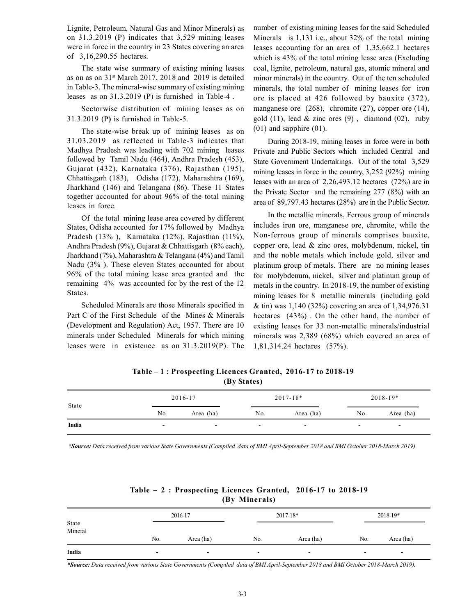Lignite, Petroleum, Natural Gas and Minor Minerals) as on 31.3.2019 (P) indicates that 3,529 mining leases were in force in the country in 23 States covering an area of 3,16,290.55 hectares.

The state wise summary of existing mining leases as on as on 31st March 2017, 2018 and 2019 is detailed in Table-3. The mineral-wise summary of existing mining leases as on 31.3.2019 (P) is furnished in Table-4 .

Sectorwise distribution of mining leases as on 31.3.2019 (P) is furnished in Table-5.

The state-wise break up of mining leases as on 31.03.2019 as reflected in Table-3 indicates that Madhya Pradesh was leading with 702 mining leases followed by Tamil Nadu (464), Andhra Pradesh (453), Gujarat (432), Karnataka (376), Rajasthan (195), Chhattisgarh (183), Odisha (172), Maharashtra (169), Jharkhand (146) and Telangana (86). These 11 States together accounted for about 96% of the total mining leases in force.

Of the total mining lease area covered by different States, Odisha accounted for 17% followed by Madhya Pradesh (13% ), Karnataka (12%), Rajasthan (11%), Andhra Pradesh (9%), Gujarat & Chhattisgarh (8% each), Jharkhand (7%), Maharashtra & Telangana (4%) and Tamil Nadu (3% ). These eleven States accounted for about 96% of the total mining lease area granted and the remaining 4% was accounted for by the rest of the 12 States.

Scheduled Minerals are those Minerals specified in Part C of the First Schedule of the Mines & Minerals (Development and Regulation) Act, 1957. There are 10 minerals under Scheduled Minerals for which mining leases were in existence as on 31.3.2019(P). The number of existing mining leases for the said Scheduled Minerals is 1,131 i.e., about 32% of the total mining leases accounting for an area of 1,35,662.1 hectares which is 43% of the total mining lease area (Excluding coal, lignite, petroleum, natural gas, atomic mineral and minor minerals) in the country. Out of the ten scheduled minerals, the total number of mining leases for iron ore is placed at 426 followed by bauxite (372), manganese ore (268), chromite (27), copper ore (14), gold  $(11)$ , lead & zinc ores  $(9)$ , diamond  $(02)$ , ruby (01) and sapphire (01).

During 2018-19, mining leases in force were in both Private and Public Sectors which included Central and State Government Undertakings. Out of the total 3,529 mining leases in force in the country, 3,252 (92%) mining leases with an area of 2,26,493.12 hectares (72%) are in the Private Sector and the remaining 277 (8%) with an area of 89,797.43 hectares (28%) are in the Public Sector.

In the metallic minerals, Ferrous group of minerals includes iron ore, manganese ore, chromite, while the Non-ferrous group of minerals comprises bauxite, copper ore, lead & zinc ores, molybdenum, nickel, tin and the noble metals which include gold, silver and platinum group of metals. There are no mining leases for molybdenum, nickel, silver and platinum group of metals in the country. In 2018-19, the number of existing mining leases for 8 metallic minerals (including gold & tin) was 1,140 (32%) covering an area of 1,34,976.31 hectares (43%) . On the other hand, the number of existing leases for 33 non-metallic minerals/industrial minerals was 2,389 (68%) which covered an area of 1,81,314.24 hectares (57%).

Table – 1 : Prospecting Licences Granted, 2016-17 to 2018-19 (By States)

| State | 2016-17                  |                          | $2017 - 18*$             |           | $2018 - 19*$             |                          |
|-------|--------------------------|--------------------------|--------------------------|-----------|--------------------------|--------------------------|
|       | No.                      | Area (ha)                | No.                      | Area (ha) | No.                      | Area (ha)                |
| India | $\overline{\phantom{0}}$ | $\overline{\phantom{a}}$ | $\overline{\phantom{a}}$ | . .       | $\overline{\phantom{0}}$ | $\overline{\phantom{0}}$ |

\*Source: Data received from various State Governments (Compiled data of BMI April-September 2018 and BMI October 2018-March 2019).

| (By Minerals) |                          |                          |                          |              |                          |                          |  |
|---------------|--------------------------|--------------------------|--------------------------|--------------|--------------------------|--------------------------|--|
| State         |                          | 2016-17                  |                          | $2017 - 18*$ |                          | 2018-19*                 |  |
| Mineral       | No.                      | Area (ha)                | No.                      | Area (ha)    | No.                      | Area (ha)                |  |
| India         | $\overline{\phantom{0}}$ | $\overline{\phantom{0}}$ | $\overline{\phantom{a}}$ |              | $\overline{\phantom{0}}$ | $\overline{\phantom{0}}$ |  |

Table – 2 : Prospecting Licences Granted, 2016-17 to 2018-19 (By Minerals)

\*Source: Data received from various State Governments (Compiled data of BMI April-September 2018 and BMI October 2018-March 2019).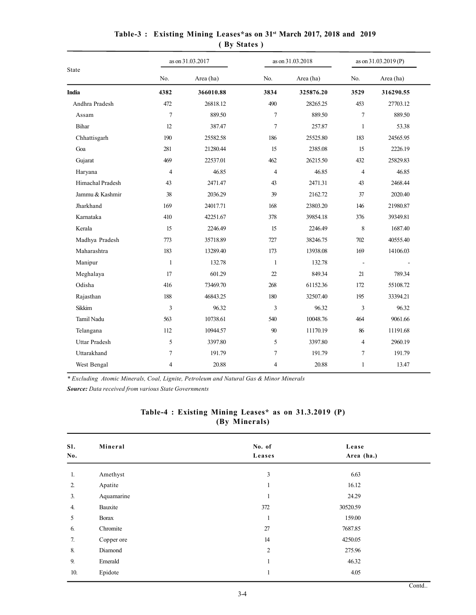|                      |                | as on 31.03.2017 | as on 31.03.2018 |           | as on 31.03.2019 (P)     |           |  |
|----------------------|----------------|------------------|------------------|-----------|--------------------------|-----------|--|
| State                | No.            | Area (ha)        | No.              | Area (ha) | No.                      | Area (ha) |  |
| <b>India</b>         | 4382           | 366010.88        | 3834             | 325876.20 | 3529                     | 316290.55 |  |
| Andhra Pradesh       | 472            | 26818.12         | 490              | 28265.25  | 453                      | 27703.12  |  |
| Assam                | $\overline{7}$ | 889.50           | $\tau$           | 889.50    | $\overline{7}$           | 889.50    |  |
| Bihar                | 12             | 387.47           | $\tau$           | 257.87    | $\mathbf{1}$             | 53.38     |  |
| Chhattisgarh         | 190            | 25582.58         | 186              | 25525.80  | 183                      | 24565.95  |  |
| Goa                  | 281            | 21280.44         | 15               | 2385.08   | 15                       | 2226.19   |  |
| Gujarat              | 469            | 22537.01         | 462              | 26215.50  | 432                      | 25829.83  |  |
| Haryana              | $\overline{4}$ | 46.85            | $\overline{4}$   | 46.85     | $\overline{4}$           | 46.85     |  |
| Himachal Pradesh     | 43             | 2471.47          | 43               | 2471.31   | 43                       | 2468.44   |  |
| Jammu & Kashmir      | 38             | 2036.29          | 39               | 2162.72   | 37                       | 2020.40   |  |
| Jharkhand            | 169            | 24017.71         | 168              | 23803.20  | 146                      | 21980.87  |  |
| Karnataka            | 410            | 42251.67         | 378              | 39854.18  | 376                      | 39349.81  |  |
| Kerala               | 15             | 2246.49          | 15               | 2246.49   | 8                        | 1687.40   |  |
| Madhya Pradesh       | 773            | 35718.89         | 727              | 38246.75  | 702                      | 40555.40  |  |
| Maharashtra          | 183            | 13289.40         | 173              | 13938.08  | 169                      | 14106.03  |  |
| Manipur              | $\mathbf{1}$   | 132.78           | $\mathbf{1}$     | 132.78    | $\overline{\phantom{a}}$ |           |  |
| Meghalaya            | 17             | 601.29           | 22               | 849.34    | 21                       | 789.34    |  |
| Odisha               | 416            | 73469.70         | 268              | 61152.36  | 172                      | 55108.72  |  |
| Rajasthan            | 188            | 46843.25         | 180              | 32507.40  | 195                      | 33394.21  |  |
| Sikkim               | 3              | 96.32            | 3                | 96.32     | 3                        | 96.32     |  |
| Tamil Nadu           | 563            | 10738.61         | 540              | 10048.76  | 464                      | 9061.66   |  |
| Telangana            | 112            | 10944.57         | 90               | 11170.19  | 86                       | 11191.68  |  |
| <b>Uttar Pradesh</b> | 5              | 3397.80          | 5                | 3397.80   | $\overline{4}$           | 2960.19   |  |
| Uttarakhand          | $\tau$         | 191.79           | 7                | 191.79    | $\tau$                   | 191.79    |  |
| West Bengal          | $\overline{4}$ | 20.88            | $\overline{4}$   | 20.88     | $\mathbf{1}$             | 13.47     |  |
|                      |                |                  |                  |           |                          |           |  |

#### Table-3 : Existing Mining Leases\*as on 31st March 2017, 2018 and 2019 ( By States )

\* Excluding Atomic Minerals, Coal, Lignite, Petroleum and Natural Gas & Minor Minerals Source: Data received from various State Governments

#### Table-4 : Existing Mining Leases\* as on 31.3.2019 (P) (By Minerals)

| SI.<br>No. | Mineral      | No. of<br>Leases | Lease<br>Area (ha.) |
|------------|--------------|------------------|---------------------|
| 1.         | Amethyst     | 3                | 6.63                |
| 2.         | Apatite      | -1               | 16.12               |
| 3.         | Aquamarine   | $\mathbf{I}$     | 24.29               |
| 4.         | Bauxite      | 372              | 30520.59            |
| 5          | <b>Borax</b> | -1               | 159.00              |
| 6.         | Chromite     | 27               | 7687.85             |
| 7.         | Copper ore   | 14               | 4250.05             |
| 8.         | Diamond      | $\overline{c}$   | 275.96              |
| 9.         | Emerald      |                  | 46.32               |
| 10.        | Epidote      |                  | 4.05                |
|            |              |                  |                     |